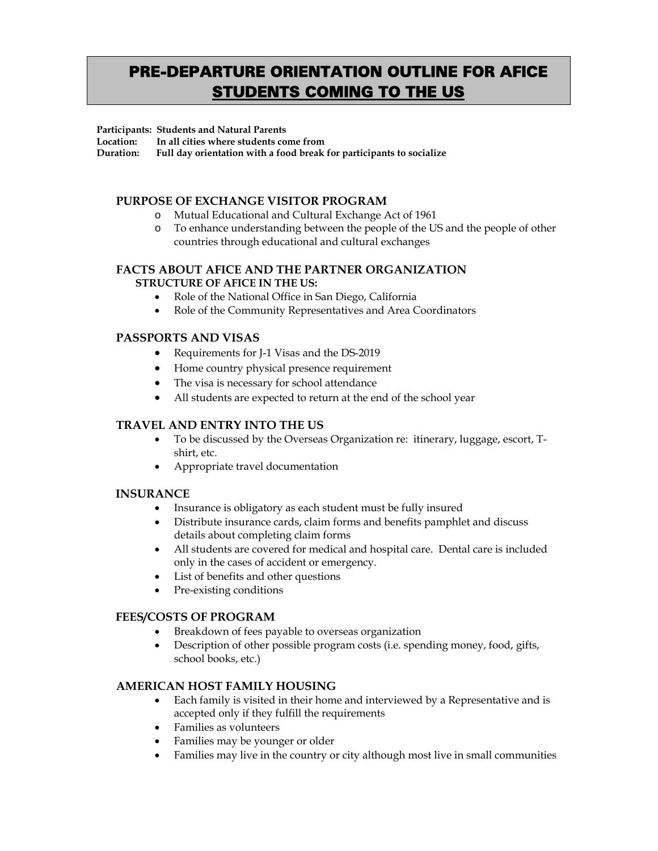# PRE-DEPARTURE ORIENTATION OUTLINE FOR AFICE **STUDENTS COMING TO THE US**

#### **Participants: Students and Natural Parents**

**Location: In all cities where students come from** 

**Duration: Full day orientation with a food break for participants to socialize** 

# **PURPOSE OF EXCHANGE VISITOR PROGRAM**

- o Mutual Educational and Cultural Exchange Act of 1961
- o To enhance understanding between the people of the US and the people of other countries through educational and cultural exchanges

#### **FACTS ABOUT AFICE AND THE PARTNER ORGANIZATION STRUCTURE OF AFICE IN THE US:**

- Role of the National Office in San Diego, California
- Role of the Community Representatives and Area Coordinators

# **PASSPORTS AND VISAS**

- Requirements for J-1 Visas and the DS-2019
- Home country physical presence requirement
- The visa is necessary for school attendance
- All students are expected to return at the end of the school year

## **TRAVEL AND ENTRY INTO THE US**

- To be discussed by the Overseas Organization re: itinerary, luggage, escort, Tshirt, etc.
- Appropriate travel documentation

## **INSURANCE**

- Insurance is obligatory as each student must be fully insured
- Distribute insurance cards, claim forms and benefits pamphlet and discuss details about completing claim forms
- All students are covered for medical and hospital care. Dental care is included only in the cases of accident or emergency.
- List of benefits and other questions
- Pre-existing conditions

## **FEES/COSTS OF PROGRAM**

- Breakdown of fees payable to overseas organization
- Description of other possible program costs (i.e. spending money, food, gifts, school books, etc.)

## **AMERICAN HOST FAMILY HOUSING**

- Each family is visited in their home and interviewed by a Representative and is accepted only if they fulfill the requirements
- Families as volunteers
- Families may be younger or older
- Families may live in the country or city although most live in small communities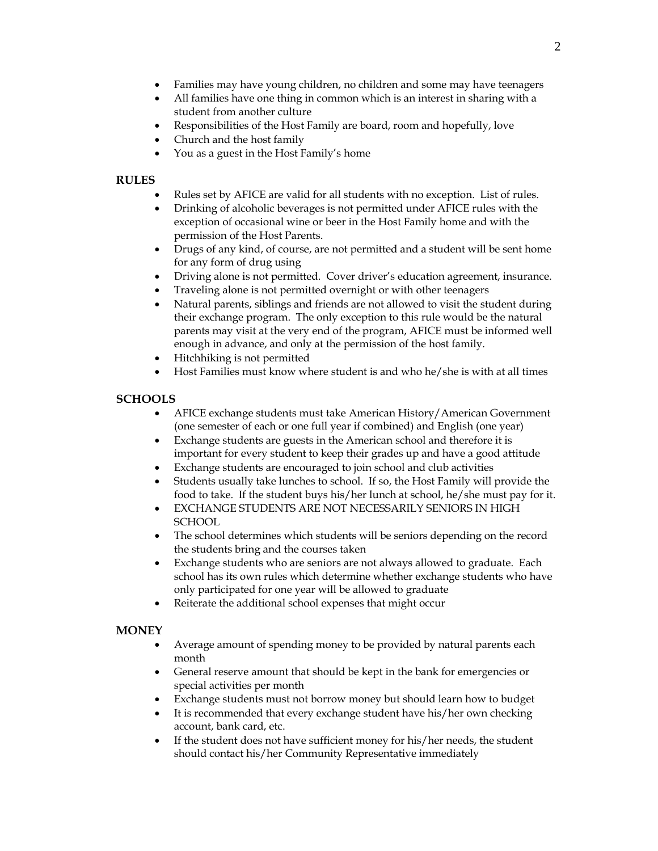- Families may have young children, no children and some may have teenagers
- All families have one thing in common which is an interest in sharing with a student from another culture
- Responsibilities of the Host Family are board, room and hopefully, love
- Church and the host family
- You as a guest in the Host Family's home

# **RULES**

- Rules set by AFICE are valid for all students with no exception. List of rules.
- Drinking of alcoholic beverages is not permitted under AFICE rules with the exception of occasional wine or beer in the Host Family home and with the permission of the Host Parents.
- Drugs of any kind, of course, are not permitted and a student will be sent home for any form of drug using
- Driving alone is not permitted. Cover driver's education agreement, insurance.
- Traveling alone is not permitted overnight or with other teenagers
- Natural parents, siblings and friends are not allowed to visit the student during their exchange program. The only exception to this rule would be the natural parents may visit at the very end of the program, AFICE must be informed well enough in advance, and only at the permission of the host family.
- Hitchhiking is not permitted
- Host Families must know where student is and who he/she is with at all times

# **SCHOOLS**

- AFICE exchange students must take American History/American Government (one semester of each or one full year if combined) and English (one year)
- Exchange students are guests in the American school and therefore it is important for every student to keep their grades up and have a good attitude
- Exchange students are encouraged to join school and club activities
- Students usually take lunches to school. If so, the Host Family will provide the food to take. If the student buys his/her lunch at school, he/she must pay for it.
- EXCHANGE STUDENTS ARE NOT NECESSARILY SENIORS IN HIGH **SCHOOL**
- The school determines which students will be seniors depending on the record the students bring and the courses taken
- Exchange students who are seniors are not always allowed to graduate. Each school has its own rules which determine whether exchange students who have only participated for one year will be allowed to graduate
- Reiterate the additional school expenses that might occur

# **MONEY**

- Average amount of spending money to be provided by natural parents each month
- General reserve amount that should be kept in the bank for emergencies or special activities per month
- Exchange students must not borrow money but should learn how to budget
- It is recommended that every exchange student have his/her own checking account, bank card, etc.
- If the student does not have sufficient money for his/her needs, the student should contact his/her Community Representative immediately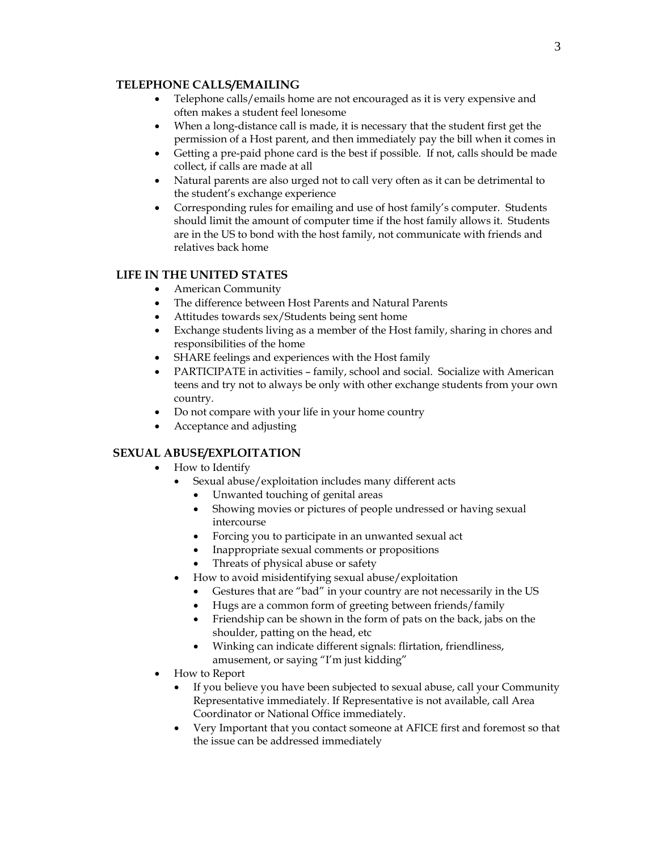#### **TELEPHONE CALLS/EMAILING**

- Telephone calls/emails home are not encouraged as it is very expensive and often makes a student feel lonesome
- When a long-distance call is made, it is necessary that the student first get the permission of a Host parent, and then immediately pay the bill when it comes in
- Getting a pre-paid phone card is the best if possible. If not, calls should be made collect, if calls are made at all
- Natural parents are also urged not to call very often as it can be detrimental to the student's exchange experience
- Corresponding rules for emailing and use of host family's computer. Students should limit the amount of computer time if the host family allows it. Students are in the US to bond with the host family, not communicate with friends and relatives back home

# **LIFE IN THE UNITED STATES**

- American Community
- The difference between Host Parents and Natural Parents
- Attitudes towards sex/Students being sent home
- Exchange students living as a member of the Host family, sharing in chores and responsibilities of the home
- SHARE feelings and experiences with the Host family
- PARTICIPATE in activities family, school and social. Socialize with American teens and try not to always be only with other exchange students from your own country.
- Do not compare with your life in your home country
- Acceptance and adjusting

# **SEXUAL ABUSE/EXPLOITATION**

- How to Identify
	- Sexual abuse/exploitation includes many different acts
		- Unwanted touching of genital areas
		- Showing movies or pictures of people undressed or having sexual intercourse
		- Forcing you to participate in an unwanted sexual act
		- Inappropriate sexual comments or propositions
		- Threats of physical abuse or safety
	- How to avoid misidentifying sexual abuse/exploitation
		- Gestures that are "bad" in your country are not necessarily in the US
		- Hugs are a common form of greeting between friends/family
		- Friendship can be shown in the form of pats on the back, jabs on the shoulder, patting on the head, etc
		- Winking can indicate different signals: flirtation, friendliness, amusement, or saying "I'm just kidding"
- How to Report
	- If you believe you have been subjected to sexual abuse, call your Community Representative immediately. If Representative is not available, call Area Coordinator or National Office immediately.
	- Very Important that you contact someone at AFICE first and foremost so that the issue can be addressed immediately